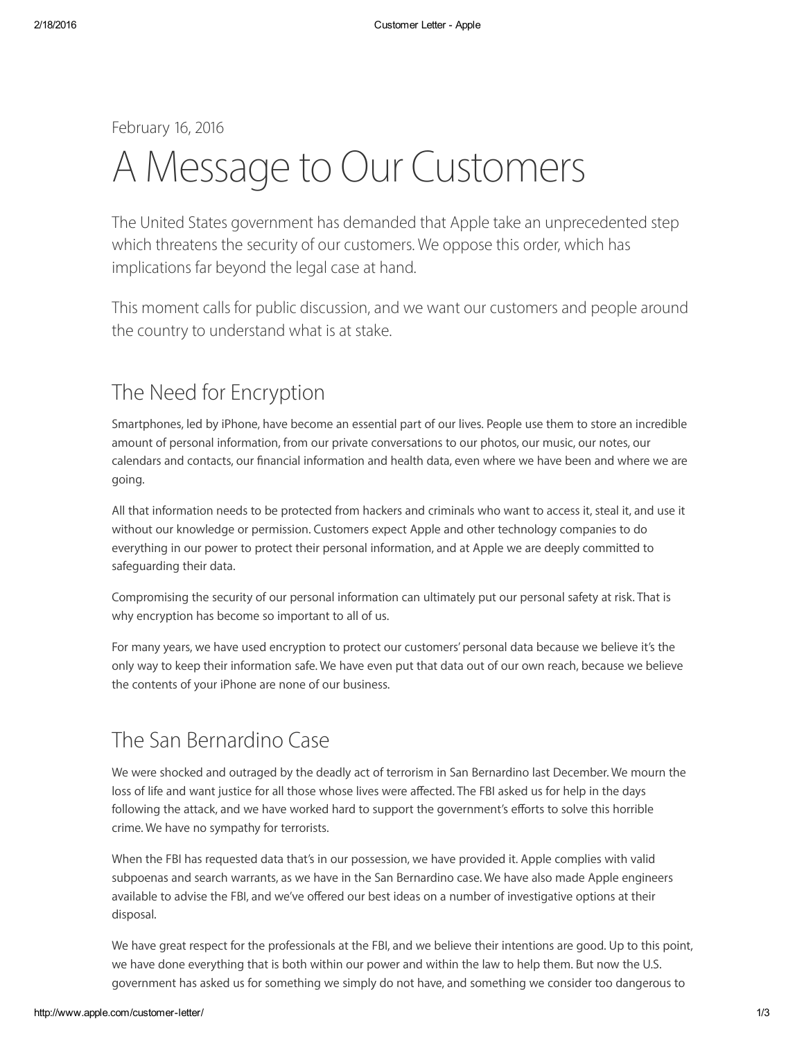February 16, 2016

# A Message to Our Customers

The United States government has demanded that Apple take an unprecedented step which threatens the security of our customers. We oppose this order, which has implications far beyond the legal case at hand.

This moment calls for public discussion, and we want our customers and people around the country to understand what is at stake.

### The Need for Encryption

Smartphones, led by iPhone, have become an essential part of our lives. People use them to store an incredible amount of personal information, from our private conversations to our photos, our music, our notes, our calendars and contacts, our financial information and health data, even where we have been and where we are going.

All that information needs to be protected from hackers and criminals who want to access it, steal it, and use it without our knowledge or permission. Customers expect Apple and other technology companies to do everything in our power to protect their personal information, and at Apple we are deeply committed to safeguarding their data.

Compromising the security of our personal information can ultimately put our personal safety at risk. That is why encryption has become so important to all of us.

For many years, we have used encryption to protect our customers' personal data because we believe it's the only way to keep their information safe. We have even put that data out of our own reach, because we believe the contents of your iPhone are none of our business.

## The San Bernardino Case

We were shocked and outraged by the deadly act of terrorism in San Bernardino last December. We mourn the loss of life and want justice for all those whose lives were affected. The FBI asked us for help in the days following the attack, and we have worked hard to support the government's efforts to solve this horrible crime. We have no sympathy for terrorists.

When the FBI has requested data that's in our possession, we have provided it. Apple complies with valid subpoenas and search warrants, as we have in the San Bernardino case. We have also made Apple engineers available to advise the FBI, and we've offered our best ideas on a number of investigative options at their disposal.

We have great respect for the professionals at the FBI, and we believe their intentions are good. Up to this point, we have done everything that is both within our power and within the law to help them. But now the U.S. government has asked us for something we simply do not have, and something we consider too dangerous to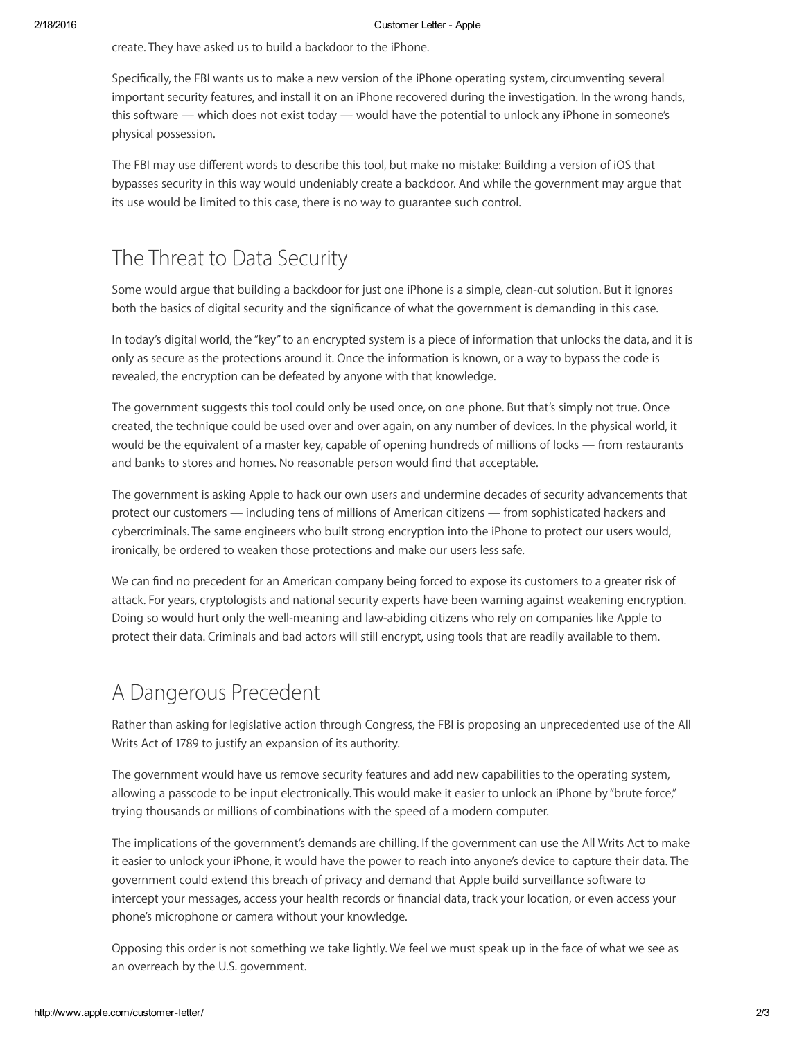create. They have asked us to build a backdoor to the iPhone.

Specifically, the FBI wants us to make a new version of the iPhone operating system, circumventing several important security features, and install it on an iPhone recovered during the investigation. In the wrong hands, this software — which does not exist today — would have the potential to unlock any iPhone in someone's physical possession.

The FBI may use different words to describe this tool, but make no mistake: Building a version of iOS that bypasses security in this way would undeniably create a backdoor. And while the government may argue that its use would be limited to this case, there is no way to guarantee such control.

#### The Threat to Data Security

Some would argue that building a backdoor for just one iPhone is a simple, clean-cut solution. But it ignores both the basics of digital security and the significance of what the government is demanding in this case.

In today's digital world, the "key" to an encrypted system is a piece of information that unlocks the data, and it is only as secure as the protections around it. Once the information is known, or a way to bypass the code is revealed, the encryption can be defeated by anyone with that knowledge.

The government suggests this tool could only be used once, on one phone. But that's simply not true. Once created, the technique could be used over and over again, on any number of devices. In the physical world, it would be the equivalent of a master key, capable of opening hundreds of millions of locks — from restaurants and banks to stores and homes. No reasonable person would find that acceptable.

The government is asking Apple to hack our own users and undermine decades of security advancements that protect our customers — including tens of millions of American citizens — from sophisticated hackers and cybercriminals. The same engineers who built strong encryption into the iPhone to protect our users would, ironically, be ordered to weaken those protections and make our users less safe.

We can find no precedent for an American company being forced to expose its customers to a greater risk of attack. For years, cryptologists and national security experts have been warning against weakening encryption. Doing so would hurt only the well-meaning and law-abiding citizens who rely on companies like Apple to protect their data. Criminals and bad actors will still encrypt, using tools that are readily available to them.

### A Dangerous Precedent

Rather than asking for legislative action through Congress, the FBI is proposing an unprecedented use of the All Writs Act of 1789 to justify an expansion of its authority.

The government would have us remove security features and add new capabilities to the operating system, allowing a passcode to be input electronically. This would make it easier to unlock an iPhone by "brute force," trying thousands or millions of combinations with the speed of a modern computer.

The implications of the government's demands are chilling. If the government can use the All Writs Act to make it easier to unlock your iPhone, it would have the power to reach into anyone's device to capture their data. The government could extend this breach of privacy and demand that Apple build surveillance software to intercept your messages, access your health records or financial data, track your location, or even access your phone's microphone or camera without your knowledge.

Opposing this order is not something we take lightly. We feel we must speak up in the face of what we see as an overreach by the U.S. government.